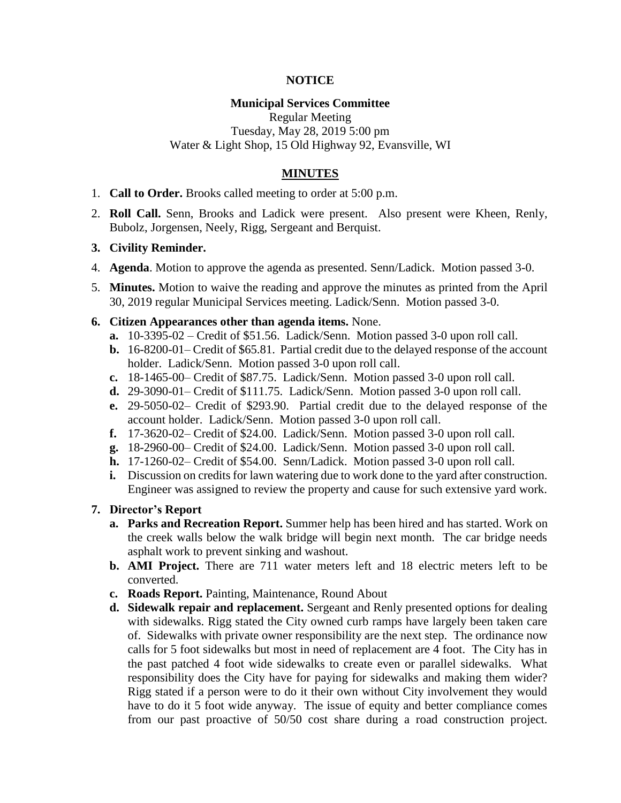## **NOTICE**

## **Municipal Services Committee**

Regular Meeting Tuesday, May 28, 2019 5:00 pm Water & Light Shop, 15 Old Highway 92, Evansville, WI

# **MINUTES**

- 1. **Call to Order.** Brooks called meeting to order at 5:00 p.m.
- 2. **Roll Call.** Senn, Brooks and Ladick were present. Also present were Kheen, Renly, Bubolz, Jorgensen, Neely, Rigg, Sergeant and Berquist.
- **3. Civility Reminder.**
- 4. **Agenda**. Motion to approve the agenda as presented. Senn/Ladick. Motion passed 3-0.
- 5. **Minutes.** Motion to waive the reading and approve the minutes as printed from the April 30, 2019 regular Municipal Services meeting. Ladick/Senn. Motion passed 3-0.
- **6. Citizen Appearances other than agenda items.** None.
	- **a.** 10-3395-02 Credit of \$51.56. Ladick/Senn. Motion passed 3-0 upon roll call.
	- **b.** 16-8200-01– Credit of \$65.81. Partial credit due to the delayed response of the account holder. Ladick/Senn. Motion passed 3-0 upon roll call.
	- **c.** 18-1465-00– Credit of \$87.75. Ladick/Senn. Motion passed 3-0 upon roll call.
	- **d.** 29-3090-01– Credit of \$111.75. Ladick/Senn. Motion passed 3-0 upon roll call.
	- **e.** 29-5050-02– Credit of \$293.90. Partial credit due to the delayed response of the account holder. Ladick/Senn. Motion passed 3-0 upon roll call.
	- **f.** 17-3620-02– Credit of \$24.00. Ladick/Senn. Motion passed 3-0 upon roll call.
	- **g.** 18-2960-00– Credit of \$24.00. Ladick/Senn. Motion passed 3-0 upon roll call.
	- **h.** 17-1260-02– Credit of \$54.00. Senn/Ladick. Motion passed 3-0 upon roll call.
	- **i.** Discussion on credits for lawn watering due to work done to the yard after construction. Engineer was assigned to review the property and cause for such extensive yard work.

#### **7. Director's Report**

- **a. Parks and Recreation Report.** Summer help has been hired and has started. Work on the creek walls below the walk bridge will begin next month. The car bridge needs asphalt work to prevent sinking and washout.
- **b. AMI Project.** There are 711 water meters left and 18 electric meters left to be converted.
- **c. Roads Report.** Painting, Maintenance, Round About
- **d. Sidewalk repair and replacement.** Sergeant and Renly presented options for dealing with sidewalks. Rigg stated the City owned curb ramps have largely been taken care of. Sidewalks with private owner responsibility are the next step. The ordinance now calls for 5 foot sidewalks but most in need of replacement are 4 foot. The City has in the past patched 4 foot wide sidewalks to create even or parallel sidewalks. What responsibility does the City have for paying for sidewalks and making them wider? Rigg stated if a person were to do it their own without City involvement they would have to do it 5 foot wide anyway. The issue of equity and better compliance comes from our past proactive of 50/50 cost share during a road construction project.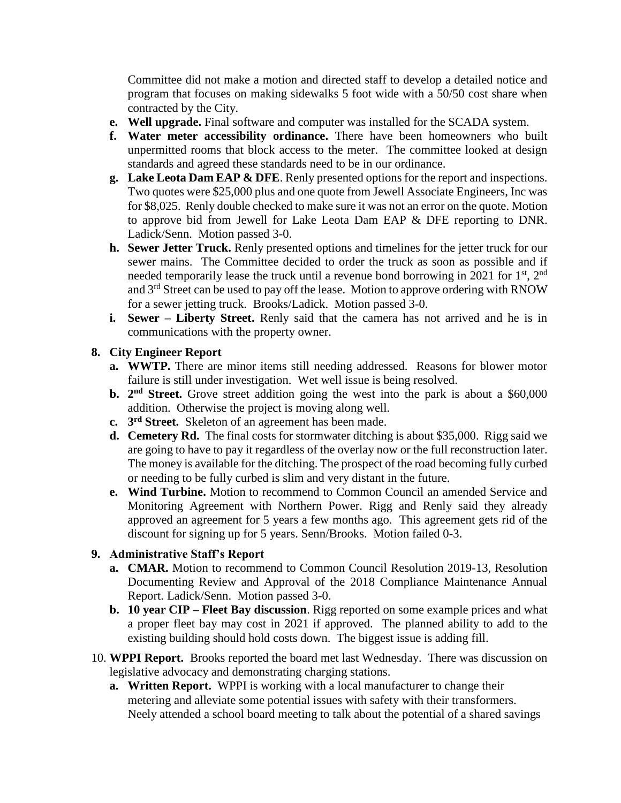Committee did not make a motion and directed staff to develop a detailed notice and program that focuses on making sidewalks 5 foot wide with a 50/50 cost share when contracted by the City.

- **e. Well upgrade.** Final software and computer was installed for the SCADA system.
- **f. Water meter accessibility ordinance.** There have been homeowners who built unpermitted rooms that block access to the meter. The committee looked at design standards and agreed these standards need to be in our ordinance.
- **g. Lake Leota Dam EAP & DFE**. Renly presented options for the report and inspections. Two quotes were \$25,000 plus and one quote from Jewell Associate Engineers, Inc was for \$8,025. Renly double checked to make sure it was not an error on the quote. Motion to approve bid from Jewell for Lake Leota Dam EAP & DFE reporting to DNR. Ladick/Senn. Motion passed 3-0.
- **h. Sewer Jetter Truck.** Renly presented options and timelines for the jetter truck for our sewer mains. The Committee decided to order the truck as soon as possible and if needed temporarily lease the truck until a revenue bond borrowing in 2021 for  $1<sup>st</sup>$ ,  $2<sup>nd</sup>$ and  $3<sup>rd</sup>$  Street can be used to pay off the lease. Motion to approve ordering with RNOW for a sewer jetting truck. Brooks/Ladick. Motion passed 3-0.
- **i. Sewer – Liberty Street.** Renly said that the camera has not arrived and he is in communications with the property owner.

# **8. City Engineer Report**

- **a. WWTP.** There are minor items still needing addressed. Reasons for blower motor failure is still under investigation. Wet well issue is being resolved.
- **b.** 2<sup>nd</sup> Street. Grove street addition going the west into the park is about a \$60,000 addition. Otherwise the project is moving along well.
- **c. 3 rd Street.** Skeleton of an agreement has been made.
- **d. Cemetery Rd.** The final costs for stormwater ditching is about \$35,000. Rigg said we are going to have to pay it regardless of the overlay now or the full reconstruction later. The money is available for the ditching. The prospect of the road becoming fully curbed or needing to be fully curbed is slim and very distant in the future.
- **e. Wind Turbine.** Motion to recommend to Common Council an amended Service and Monitoring Agreement with Northern Power. Rigg and Renly said they already approved an agreement for 5 years a few months ago. This agreement gets rid of the discount for signing up for 5 years. Senn/Brooks. Motion failed 0-3.

# **9. Administrative Staff's Report**

- **a. CMAR.** Motion to recommend to Common Council Resolution 2019-13, Resolution Documenting Review and Approval of the 2018 Compliance Maintenance Annual Report. Ladick/Senn. Motion passed 3-0.
- **b. 10 year CIP – Fleet Bay discussion**. Rigg reported on some example prices and what a proper fleet bay may cost in 2021 if approved. The planned ability to add to the existing building should hold costs down. The biggest issue is adding fill.
- 10. **WPPI Report.** Brooks reported the board met last Wednesday. There was discussion on legislative advocacy and demonstrating charging stations.
	- **a. Written Report.** WPPI is working with a local manufacturer to change their metering and alleviate some potential issues with safety with their transformers. Neely attended a school board meeting to talk about the potential of a shared savings